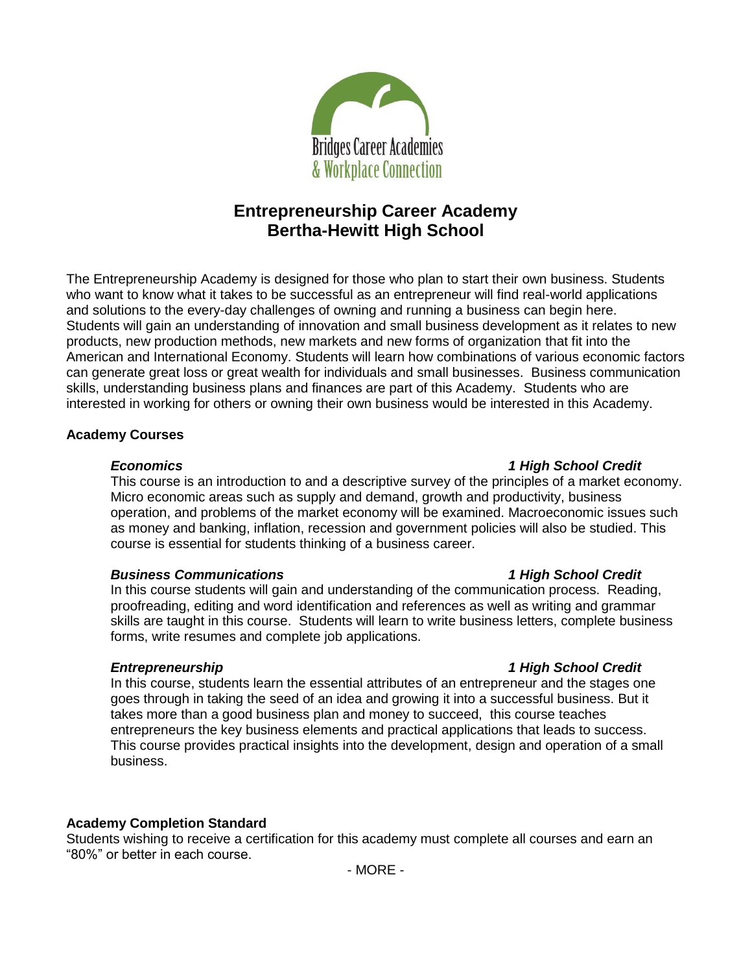

# **Entrepreneurship Career Academy Bertha-Hewitt High School**

The Entrepreneurship Academy is designed for those who plan to start their own business. Students who want to know what it takes to be successful as an entrepreneur will find real-world applications and solutions to the every-day challenges of owning and running a business can begin here. Students will gain an understanding of innovation and small business development as it relates to new products, new production methods, new markets and new forms of organization that fit into the American and International Economy. Students will learn how combinations of various economic factors can generate great loss or great wealth for individuals and small businesses. Business communication skills, understanding business plans and finances are part of this Academy. Students who are interested in working for others or owning their own business would be interested in this Academy.

### **Academy Courses**

This course is an introduction to and a descriptive survey of the principles of a market economy. Micro economic areas such as supply and demand, growth and productivity, business operation, and problems of the market economy will be examined. Macroeconomic issues such as money and banking, inflation, recession and government policies will also be studied. This course is essential for students thinking of a business career.

### *Business Communications 1 High School Credit*

In this course students will gain and understanding of the communication process. Reading, proofreading, editing and word identification and references as well as writing and grammar skills are taught in this course. Students will learn to write business letters, complete business forms, write resumes and complete job applications.

# *Entrepreneurship 1 High School Credit*

In this course, students learn the essential attributes of an entrepreneur and the stages one goes through in taking the seed of an idea and growing it into a successful business. But it takes more than a good business plan and money to succeed, this course teaches entrepreneurs the key business elements and practical applications that leads to success. This course provides practical insights into the development, design and operation of a small business.

# **Academy Completion Standard**

Students wishing to receive a certification for this academy must complete all courses and earn an "80%" or better in each course.

### *Economics 1 High School Credit*

# - MORE -